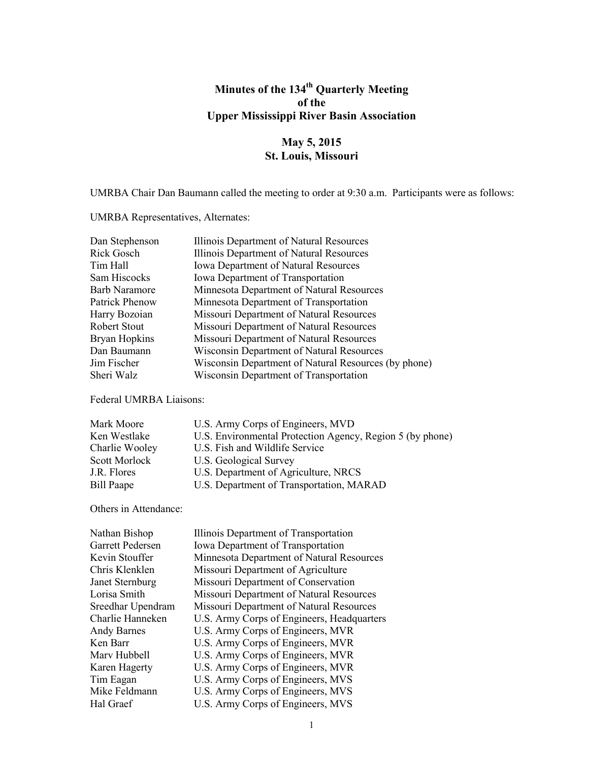# **Minutes of the 134th Quarterly Meeting of the Upper Mississippi River Basin Association**

## **May 5, 2015 St. Louis, Missouri**

UMRBA Chair Dan Baumann called the meeting to order at 9:30 a.m. Participants were as follows:

UMRBA Representatives, Alternates:

| Dan Stephenson       | Illinois Department of Natural Resources             |
|----------------------|------------------------------------------------------|
| Rick Gosch           | Illinois Department of Natural Resources             |
| Tim Hall             | <b>Iowa Department of Natural Resources</b>          |
| Sam Hiscocks         | <b>Iowa Department of Transportation</b>             |
| <b>Barb Naramore</b> | Minnesota Department of Natural Resources            |
| Patrick Phenow       | Minnesota Department of Transportation               |
| Harry Bozoian        | Missouri Department of Natural Resources             |
| <b>Robert Stout</b>  | Missouri Department of Natural Resources             |
| Bryan Hopkins        | Missouri Department of Natural Resources             |
| Dan Baumann          | <b>Wisconsin Department of Natural Resources</b>     |
| Jim Fischer          | Wisconsin Department of Natural Resources (by phone) |
| Sheri Walz           | Wisconsin Department of Transportation               |

Federal UMRBA Liaisons:

| Mark Moore     | U.S. Army Corps of Engineers, MVD                         |
|----------------|-----------------------------------------------------------|
| Ken Westlake   | U.S. Environmental Protection Agency, Region 5 (by phone) |
| Charlie Wooley | U.S. Fish and Wildlife Service                            |
| Scott Morlock  | U.S. Geological Survey                                    |
| J.R. Flores    | U.S. Department of Agriculture, NRCS                      |
| Bill Paape     | U.S. Department of Transportation, MARAD                  |

Others in Attendance:

| Nathan Bishop      | Illinois Department of Transportation      |
|--------------------|--------------------------------------------|
| Garrett Pedersen   | Iowa Department of Transportation          |
| Kevin Stouffer     | Minnesota Department of Natural Resources  |
| Chris Klenklen     | Missouri Department of Agriculture         |
| Janet Sternburg    | Missouri Department of Conservation        |
| Lorisa Smith       | Missouri Department of Natural Resources   |
| Sreedhar Upendram  | Missouri Department of Natural Resources   |
| Charlie Hanneken   | U.S. Army Corps of Engineers, Headquarters |
| <b>Andy Barnes</b> | U.S. Army Corps of Engineers, MVR          |
| Ken Barr           | U.S. Army Corps of Engineers, MVR          |
| Mary Hubbell       | U.S. Army Corps of Engineers, MVR          |
| Karen Hagerty      | U.S. Army Corps of Engineers, MVR          |
| Tim Eagan          | U.S. Army Corps of Engineers, MVS          |
| Mike Feldmann      | U.S. Army Corps of Engineers, MVS          |
| Hal Graef          | U.S. Army Corps of Engineers, MVS          |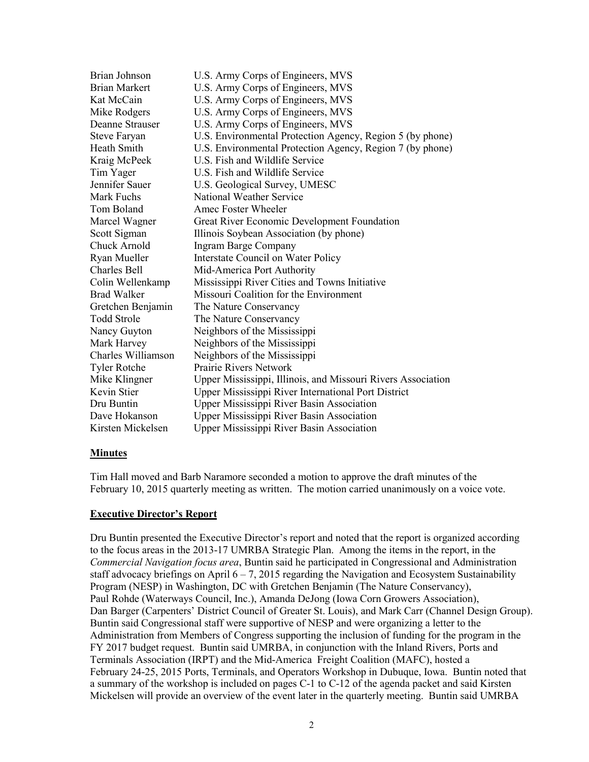| Brian Johnson        | U.S. Army Corps of Engineers, MVS                            |
|----------------------|--------------------------------------------------------------|
| <b>Brian Markert</b> | U.S. Army Corps of Engineers, MVS                            |
| Kat McCain           | U.S. Army Corps of Engineers, MVS                            |
| Mike Rodgers         | U.S. Army Corps of Engineers, MVS                            |
| Deanne Strauser      | U.S. Army Corps of Engineers, MVS                            |
| <b>Steve Faryan</b>  | U.S. Environmental Protection Agency, Region 5 (by phone)    |
| Heath Smith          | U.S. Environmental Protection Agency, Region 7 (by phone)    |
| Kraig McPeek         | U.S. Fish and Wildlife Service                               |
| Tim Yager            | U.S. Fish and Wildlife Service                               |
| Jennifer Sauer       | U.S. Geological Survey, UMESC                                |
| Mark Fuchs           | National Weather Service                                     |
| Tom Boland           | Amec Foster Wheeler                                          |
| Marcel Wagner        | Great River Economic Development Foundation                  |
| Scott Sigman         | Illinois Soybean Association (by phone)                      |
| Chuck Arnold         | <b>Ingram Barge Company</b>                                  |
| Ryan Mueller         | <b>Interstate Council on Water Policy</b>                    |
| <b>Charles Bell</b>  | Mid-America Port Authority                                   |
| Colin Wellenkamp     | Mississippi River Cities and Towns Initiative                |
| Brad Walker          | Missouri Coalition for the Environment                       |
| Gretchen Benjamin    | The Nature Conservancy                                       |
| <b>Todd Strole</b>   | The Nature Conservancy                                       |
| Nancy Guyton         | Neighbors of the Mississippi                                 |
| Mark Harvey          | Neighbors of the Mississippi                                 |
| Charles Williamson   | Neighbors of the Mississippi                                 |
| <b>Tyler Rotche</b>  | Prairie Rivers Network                                       |
| Mike Klingner        | Upper Mississippi, Illinois, and Missouri Rivers Association |
| Kevin Stier          | Upper Mississippi River International Port District          |
| Dru Buntin           | <b>Upper Mississippi River Basin Association</b>             |
| Dave Hokanson        | Upper Mississippi River Basin Association                    |
| Kirsten Mickelsen    | <b>Upper Mississippi River Basin Association</b>             |

#### **Minutes**

Tim Hall moved and Barb Naramore seconded a motion to approve the draft minutes of the February 10, 2015 quarterly meeting as written. The motion carried unanimously on a voice vote.

#### **Executive Director's Report**

Dru Buntin presented the Executive Director's report and noted that the report is organized according to the focus areas in the 2013-17 UMRBA Strategic Plan. Among the items in the report, in the *Commercial Navigation focus area*, Buntin said he participated in Congressional and Administration staff advocacy briefings on April  $6 - 7$ , 2015 regarding the Navigation and Ecosystem Sustainability Program (NESP) in Washington, DC with Gretchen Benjamin (The Nature Conservancy), Paul Rohde (Waterways Council, Inc.), Amanda DeJong (Iowa Corn Growers Association), Dan Barger (Carpenters' District Council of Greater St. Louis), and Mark Carr (Channel Design Group). Buntin said Congressional staff were supportive of NESP and were organizing a letter to the Administration from Members of Congress supporting the inclusion of funding for the program in the FY 2017 budget request. Buntin said UMRBA, in conjunction with the Inland Rivers, Ports and Terminals Association (IRPT) and the Mid-America Freight Coalition (MAFC), hosted a February 24-25, 2015 Ports, Terminals, and Operators Workshop in Dubuque, Iowa. Buntin noted that a summary of the workshop is included on pages C-1 to C-12 of the agenda packet and said Kirsten Mickelsen will provide an overview of the event later in the quarterly meeting. Buntin said UMRBA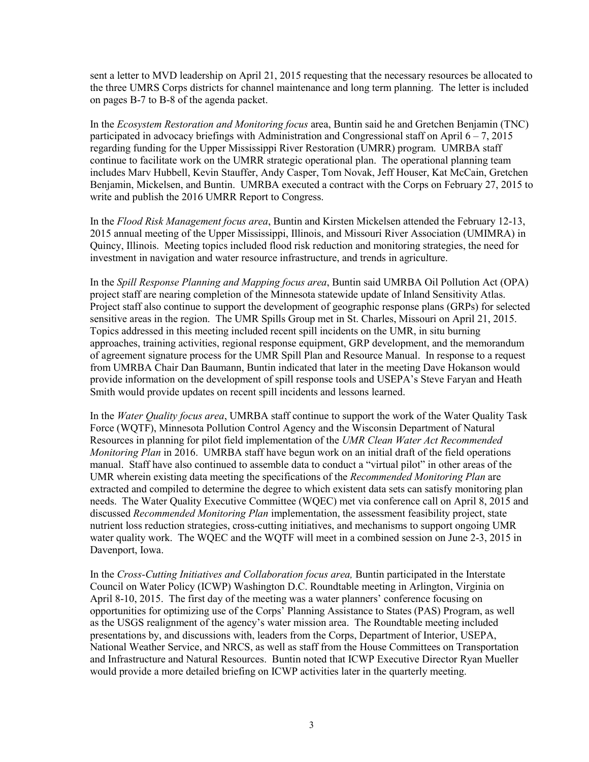sent a letter to MVD leadership on April 21, 2015 requesting that the necessary resources be allocated to the three UMRS Corps districts for channel maintenance and long term planning. The letter is included on pages B-7 to B-8 of the agenda packet.

In the *Ecosystem Restoration and Monitoring focus* area, Buntin said he and Gretchen Benjamin (TNC) participated in advocacy briefings with Administration and Congressional staff on April  $6 - 7$ , 2015 regarding funding for the Upper Mississippi River Restoration (UMRR) program. UMRBA staff continue to facilitate work on the UMRR strategic operational plan. The operational planning team includes Marv Hubbell, Kevin Stauffer, Andy Casper, Tom Novak, Jeff Houser, Kat McCain, Gretchen Benjamin, Mickelsen, and Buntin. UMRBA executed a contract with the Corps on February 27, 2015 to write and publish the 2016 UMRR Report to Congress.

In the *Flood Risk Management focus area*, Buntin and Kirsten Mickelsen attended the February 12-13, 2015 annual meeting of the Upper Mississippi, Illinois, and Missouri River Association (UMIMRA) in Quincy, Illinois. Meeting topics included flood risk reduction and monitoring strategies, the need for investment in navigation and water resource infrastructure, and trends in agriculture.

In the *Spill Response Planning and Mapping focus area*, Buntin said UMRBA Oil Pollution Act (OPA) project staff are nearing completion of the Minnesota statewide update of Inland Sensitivity Atlas. Project staff also continue to support the development of geographic response plans (GRPs) for selected sensitive areas in the region. The UMR Spills Group met in St. Charles, Missouri on April 21, 2015. Topics addressed in this meeting included recent spill incidents on the UMR, in situ burning approaches, training activities, regional response equipment, GRP development, and the memorandum of agreement signature process for the UMR Spill Plan and Resource Manual. In response to a request from UMRBA Chair Dan Baumann, Buntin indicated that later in the meeting Dave Hokanson would provide information on the development of spill response tools and USEPA's Steve Faryan and Heath Smith would provide updates on recent spill incidents and lessons learned.

In the *Water Quality focus area*, UMRBA staff continue to support the work of the Water Quality Task Force (WQTF), Minnesota Pollution Control Agency and the Wisconsin Department of Natural Resources in planning for pilot field implementation of the *UMR Clean Water Act Recommended Monitoring Plan* in 2016. UMRBA staff have begun work on an initial draft of the field operations manual. Staff have also continued to assemble data to conduct a "virtual pilot" in other areas of the UMR wherein existing data meeting the specifications of the *Recommended Monitoring Plan* are extracted and compiled to determine the degree to which existent data sets can satisfy monitoring plan needs. The Water Quality Executive Committee (WQEC) met via conference call on April 8, 2015 and discussed *Recommended Monitoring Plan* implementation, the assessment feasibility project, state nutrient loss reduction strategies, cross-cutting initiatives, and mechanisms to support ongoing UMR water quality work. The WQEC and the WQTF will meet in a combined session on June 2-3, 2015 in Davenport, Iowa.

In the *Cross-Cutting Initiatives and Collaboration focus area,* Buntin participated in the Interstate Council on Water Policy (ICWP) Washington D.C. Roundtable meeting in Arlington, Virginia on April 8-10, 2015. The first day of the meeting was a water planners' conference focusing on opportunities for optimizing use of the Corps' Planning Assistance to States (PAS) Program, as well as the USGS realignment of the agency's water mission area. The Roundtable meeting included presentations by, and discussions with, leaders from the Corps, Department of Interior, USEPA, National Weather Service, and NRCS, as well as staff from the House Committees on Transportation and Infrastructure and Natural Resources. Buntin noted that ICWP Executive Director Ryan Mueller would provide a more detailed briefing on ICWP activities later in the quarterly meeting.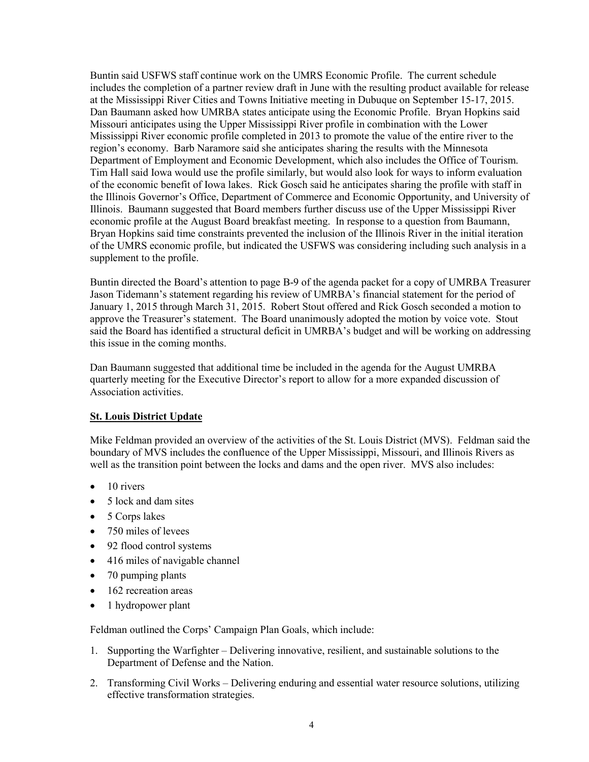Buntin said USFWS staff continue work on the UMRS Economic Profile. The current schedule includes the completion of a partner review draft in June with the resulting product available for release at the Mississippi River Cities and Towns Initiative meeting in Dubuque on September 15-17, 2015. Dan Baumann asked how UMRBA states anticipate using the Economic Profile. Bryan Hopkins said Missouri anticipates using the Upper Mississippi River profile in combination with the Lower Mississippi River economic profile completed in 2013 to promote the value of the entire river to the region's economy. Barb Naramore said she anticipates sharing the results with the Minnesota Department of Employment and Economic Development, which also includes the Office of Tourism. Tim Hall said Iowa would use the profile similarly, but would also look for ways to inform evaluation of the economic benefit of Iowa lakes. Rick Gosch said he anticipates sharing the profile with staff in the Illinois Governor's Office, Department of Commerce and Economic Opportunity, and University of Illinois. Baumann suggested that Board members further discuss use of the Upper Mississippi River economic profile at the August Board breakfast meeting. In response to a question from Baumann, Bryan Hopkins said time constraints prevented the inclusion of the Illinois River in the initial iteration of the UMRS economic profile, but indicated the USFWS was considering including such analysis in a supplement to the profile.

Buntin directed the Board's attention to page B-9 of the agenda packet for a copy of UMRBA Treasurer Jason Tidemann's statement regarding his review of UMRBA's financial statement for the period of January 1, 2015 through March 31, 2015. Robert Stout offered and Rick Gosch seconded a motion to approve the Treasurer's statement. The Board unanimously adopted the motion by voice vote. Stout said the Board has identified a structural deficit in UMRBA's budget and will be working on addressing this issue in the coming months.

Dan Baumann suggested that additional time be included in the agenda for the August UMRBA quarterly meeting for the Executive Director's report to allow for a more expanded discussion of Association activities.

## **St. Louis District Update**

Mike Feldman provided an overview of the activities of the St. Louis District (MVS). Feldman said the boundary of MVS includes the confluence of the Upper Mississippi, Missouri, and Illinois Rivers as well as the transition point between the locks and dams and the open river. MVS also includes:

- $\bullet$  10 rivers
- 5 lock and dam sites
- 5 Corps lakes
- 750 miles of levees
- 92 flood control systems
- 416 miles of navigable channel
- 70 pumping plants
- 162 recreation areas
- 1 hydropower plant

Feldman outlined the Corps' Campaign Plan Goals, which include:

- 1. Supporting the Warfighter Delivering innovative, resilient, and sustainable solutions to the Department of Defense and the Nation.
- 2. Transforming Civil Works Delivering enduring and essential water resource solutions, utilizing effective transformation strategies.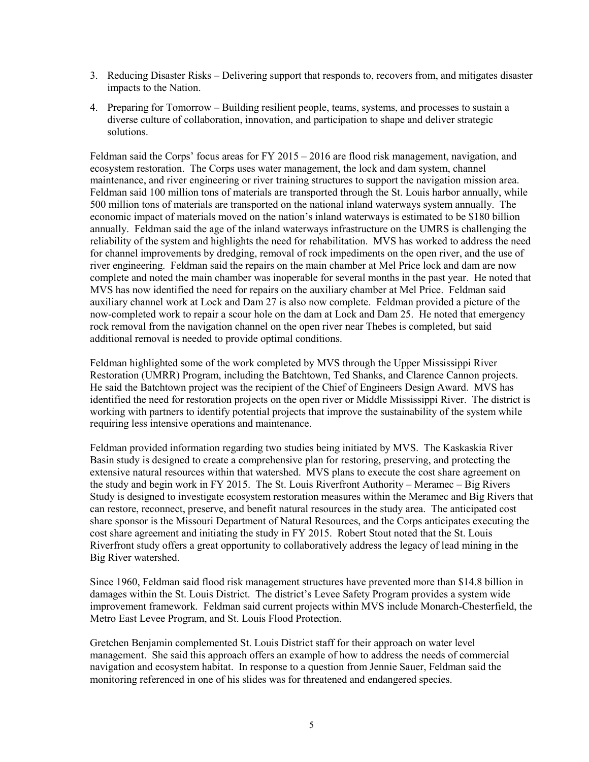- 3. Reducing Disaster Risks Delivering support that responds to, recovers from, and mitigates disaster impacts to the Nation.
- 4. Preparing for Tomorrow Building resilient people, teams, systems, and processes to sustain a diverse culture of collaboration, innovation, and participation to shape and deliver strategic solutions.

Feldman said the Corps' focus areas for FY 2015 – 2016 are flood risk management, navigation, and ecosystem restoration. The Corps uses water management, the lock and dam system, channel maintenance, and river engineering or river training structures to support the navigation mission area. Feldman said 100 million tons of materials are transported through the St. Louis harbor annually, while 500 million tons of materials are transported on the national inland waterways system annually. The economic impact of materials moved on the nation's inland waterways is estimated to be \$180 billion annually. Feldman said the age of the inland waterways infrastructure on the UMRS is challenging the reliability of the system and highlights the need for rehabilitation. MVS has worked to address the need for channel improvements by dredging, removal of rock impediments on the open river, and the use of river engineering. Feldman said the repairs on the main chamber at Mel Price lock and dam are now complete and noted the main chamber was inoperable for several months in the past year. He noted that MVS has now identified the need for repairs on the auxiliary chamber at Mel Price. Feldman said auxiliary channel work at Lock and Dam 27 is also now complete. Feldman provided a picture of the now-completed work to repair a scour hole on the dam at Lock and Dam 25. He noted that emergency rock removal from the navigation channel on the open river near Thebes is completed, but said additional removal is needed to provide optimal conditions.

Feldman highlighted some of the work completed by MVS through the Upper Mississippi River Restoration (UMRR) Program, including the Batchtown, Ted Shanks, and Clarence Cannon projects. He said the Batchtown project was the recipient of the Chief of Engineers Design Award. MVS has identified the need for restoration projects on the open river or Middle Mississippi River. The district is working with partners to identify potential projects that improve the sustainability of the system while requiring less intensive operations and maintenance.

Feldman provided information regarding two studies being initiated by MVS. The Kaskaskia River Basin study is designed to create a comprehensive plan for restoring, preserving, and protecting the extensive natural resources within that watershed. MVS plans to execute the cost share agreement on the study and begin work in FY 2015. The St. Louis Riverfront Authority – Meramec – Big Rivers Study is designed to investigate ecosystem restoration measures within the Meramec and Big Rivers that can restore, reconnect, preserve, and benefit natural resources in the study area. The anticipated cost share sponsor is the Missouri Department of Natural Resources, and the Corps anticipates executing the cost share agreement and initiating the study in FY 2015. Robert Stout noted that the St. Louis Riverfront study offers a great opportunity to collaboratively address the legacy of lead mining in the Big River watershed.

Since 1960, Feldman said flood risk management structures have prevented more than \$14.8 billion in damages within the St. Louis District. The district's Levee Safety Program provides a system wide improvement framework. Feldman said current projects within MVS include Monarch-Chesterfield, the Metro East Levee Program, and St. Louis Flood Protection.

Gretchen Benjamin complemented St. Louis District staff for their approach on water level management. She said this approach offers an example of how to address the needs of commercial navigation and ecosystem habitat. In response to a question from Jennie Sauer, Feldman said the monitoring referenced in one of his slides was for threatened and endangered species.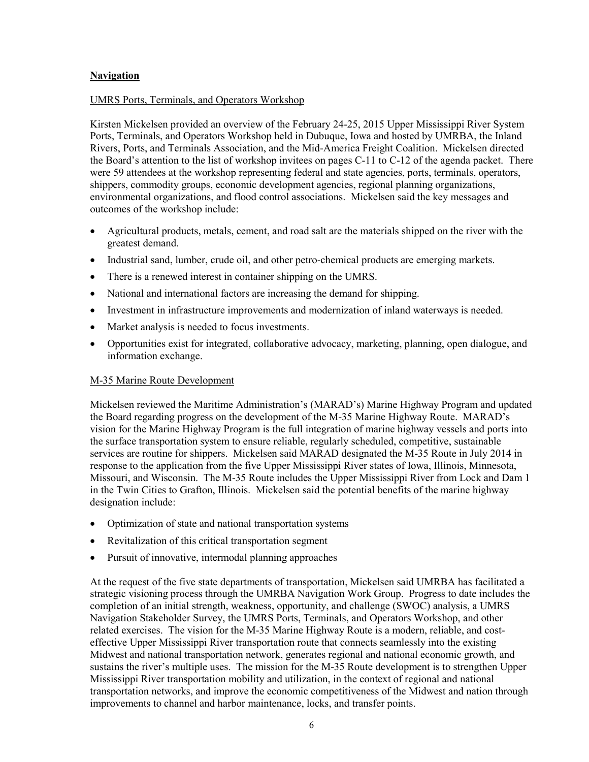## **Navigation**

### UMRS Ports, Terminals, and Operators Workshop

Kirsten Mickelsen provided an overview of the February 24-25, 2015 Upper Mississippi River System Ports, Terminals, and Operators Workshop held in Dubuque, Iowa and hosted by UMRBA, the Inland Rivers, Ports, and Terminals Association, and the Mid-America Freight Coalition. Mickelsen directed the Board's attention to the list of workshop invitees on pages C-11 to C-12 of the agenda packet. There were 59 attendees at the workshop representing federal and state agencies, ports, terminals, operators, shippers, commodity groups, economic development agencies, regional planning organizations, environmental organizations, and flood control associations. Mickelsen said the key messages and outcomes of the workshop include:

- Agricultural products, metals, cement, and road salt are the materials shipped on the river with the greatest demand.
- Industrial sand, lumber, crude oil, and other petro-chemical products are emerging markets.
- There is a renewed interest in container shipping on the UMRS.
- National and international factors are increasing the demand for shipping.
- Investment in infrastructure improvements and modernization of inland waterways is needed.
- Market analysis is needed to focus investments.
- Opportunities exist for integrated, collaborative advocacy, marketing, planning, open dialogue, and information exchange.

### M-35 Marine Route Development

Mickelsen reviewed the Maritime Administration's (MARAD's) Marine Highway Program and updated the Board regarding progress on the development of the M-35 Marine Highway Route. MARAD's vision for the Marine Highway Program is the full integration of marine highway vessels and ports into the surface transportation system to ensure reliable, regularly scheduled, competitive, sustainable services are routine for shippers. Mickelsen said MARAD designated the M-35 Route in July 2014 in response to the application from the five Upper Mississippi River states of Iowa, Illinois, Minnesota, Missouri, and Wisconsin. The M-35 Route includes the Upper Mississippi River from Lock and Dam 1 in the Twin Cities to Grafton, Illinois. Mickelsen said the potential benefits of the marine highway designation include:

- Optimization of state and national transportation systems
- Revitalization of this critical transportation segment
- Pursuit of innovative, intermodal planning approaches

At the request of the five state departments of transportation, Mickelsen said UMRBA has facilitated a strategic visioning process through the UMRBA Navigation Work Group. Progress to date includes the completion of an initial strength, weakness, opportunity, and challenge (SWOC) analysis, a UMRS Navigation Stakeholder Survey, the UMRS Ports, Terminals, and Operators Workshop, and other related exercises. The vision for the M-35 Marine Highway Route is a modern, reliable, and costeffective Upper Mississippi River transportation route that connects seamlessly into the existing Midwest and national transportation network, generates regional and national economic growth, and sustains the river's multiple uses. The mission for the M-35 Route development is to strengthen Upper Mississippi River transportation mobility and utilization, in the context of regional and national transportation networks, and improve the economic competitiveness of the Midwest and nation through improvements to channel and harbor maintenance, locks, and transfer points.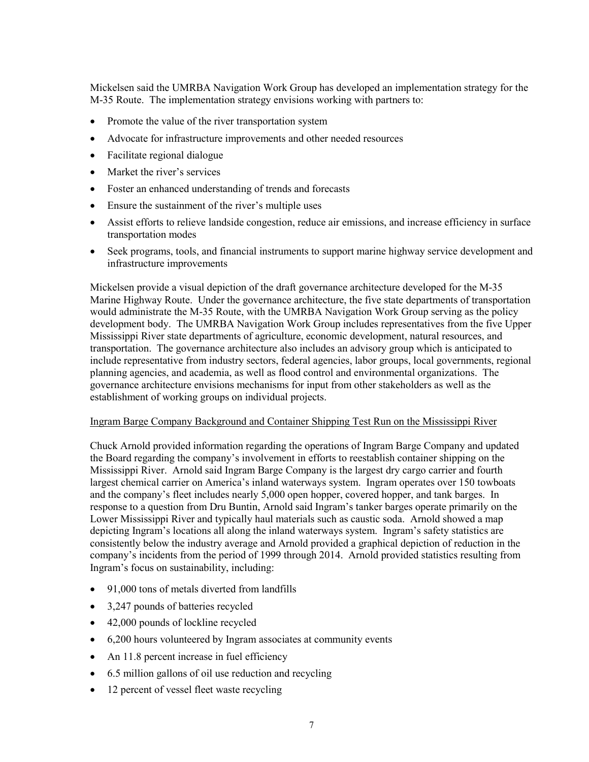Mickelsen said the UMRBA Navigation Work Group has developed an implementation strategy for the M-35 Route. The implementation strategy envisions working with partners to:

- Promote the value of the river transportation system
- Advocate for infrastructure improvements and other needed resources
- Facilitate regional dialogue
- Market the river's services
- Foster an enhanced understanding of trends and forecasts
- Ensure the sustainment of the river's multiple uses
- Assist efforts to relieve landside congestion, reduce air emissions, and increase efficiency in surface transportation modes
- Seek programs, tools, and financial instruments to support marine highway service development and infrastructure improvements

Mickelsen provide a visual depiction of the draft governance architecture developed for the M-35 Marine Highway Route. Under the governance architecture, the five state departments of transportation would administrate the M-35 Route, with the UMRBA Navigation Work Group serving as the policy development body. The UMRBA Navigation Work Group includes representatives from the five Upper Mississippi River state departments of agriculture, economic development, natural resources, and transportation. The governance architecture also includes an advisory group which is anticipated to include representative from industry sectors, federal agencies, labor groups, local governments, regional planning agencies, and academia, as well as flood control and environmental organizations. The governance architecture envisions mechanisms for input from other stakeholders as well as the establishment of working groups on individual projects.

#### Ingram Barge Company Background and Container Shipping Test Run on the Mississippi River

Chuck Arnold provided information regarding the operations of Ingram Barge Company and updated the Board regarding the company's involvement in efforts to reestablish container shipping on the Mississippi River. Arnold said Ingram Barge Company is the largest dry cargo carrier and fourth largest chemical carrier on America's inland waterways system. Ingram operates over 150 towboats and the company's fleet includes nearly 5,000 open hopper, covered hopper, and tank barges. In response to a question from Dru Buntin, Arnold said Ingram's tanker barges operate primarily on the Lower Mississippi River and typically haul materials such as caustic soda. Arnold showed a map depicting Ingram's locations all along the inland waterways system. Ingram's safety statistics are consistently below the industry average and Arnold provided a graphical depiction of reduction in the company's incidents from the period of 1999 through 2014. Arnold provided statistics resulting from Ingram's focus on sustainability, including:

- 91,000 tons of metals diverted from landfills
- 3,247 pounds of batteries recycled
- 42,000 pounds of lockline recycled
- 6,200 hours volunteered by Ingram associates at community events
- An 11.8 percent increase in fuel efficiency
- 6.5 million gallons of oil use reduction and recycling
- 12 percent of vessel fleet waste recycling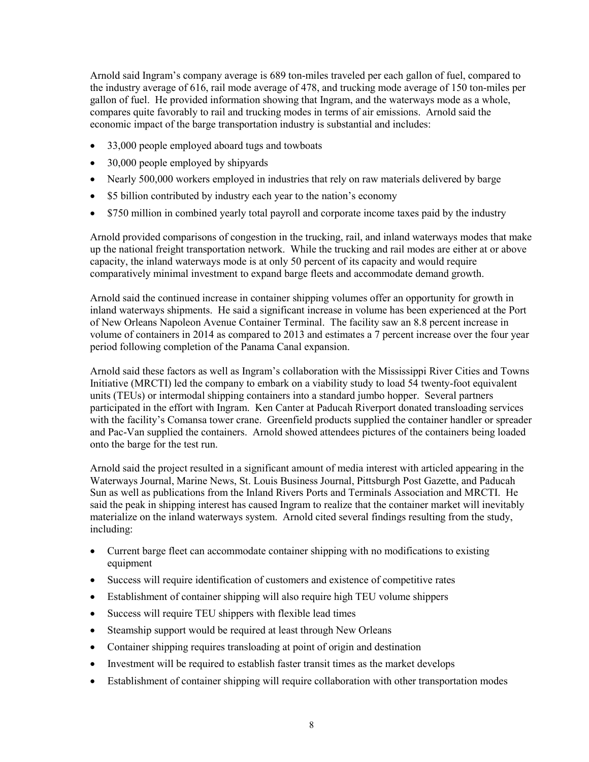Arnold said Ingram's company average is 689 ton-miles traveled per each gallon of fuel, compared to the industry average of 616, rail mode average of 478, and trucking mode average of 150 ton-miles per gallon of fuel. He provided information showing that Ingram, and the waterways mode as a whole, compares quite favorably to rail and trucking modes in terms of air emissions. Arnold said the economic impact of the barge transportation industry is substantial and includes:

- 33,000 people employed aboard tugs and towboats
- 30,000 people employed by shipyards
- Nearly 500,000 workers employed in industries that rely on raw materials delivered by barge
- \$5 billion contributed by industry each year to the nation's economy
- \$750 million in combined yearly total payroll and corporate income taxes paid by the industry

Arnold provided comparisons of congestion in the trucking, rail, and inland waterways modes that make up the national freight transportation network. While the trucking and rail modes are either at or above capacity, the inland waterways mode is at only 50 percent of its capacity and would require comparatively minimal investment to expand barge fleets and accommodate demand growth.

Arnold said the continued increase in container shipping volumes offer an opportunity for growth in inland waterways shipments. He said a significant increase in volume has been experienced at the Port of New Orleans Napoleon Avenue Container Terminal. The facility saw an 8.8 percent increase in volume of containers in 2014 as compared to 2013 and estimates a 7 percent increase over the four year period following completion of the Panama Canal expansion.

Arnold said these factors as well as Ingram's collaboration with the Mississippi River Cities and Towns Initiative (MRCTI) led the company to embark on a viability study to load 54 twenty-foot equivalent units (TEUs) or intermodal shipping containers into a standard jumbo hopper. Several partners participated in the effort with Ingram. Ken Canter at Paducah Riverport donated transloading services with the facility's Comansa tower crane. Greenfield products supplied the container handler or spreader and Pac-Van supplied the containers. Arnold showed attendees pictures of the containers being loaded onto the barge for the test run.

Arnold said the project resulted in a significant amount of media interest with articled appearing in the Waterways Journal, Marine News, St. Louis Business Journal, Pittsburgh Post Gazette, and Paducah Sun as well as publications from the Inland Rivers Ports and Terminals Association and MRCTI. He said the peak in shipping interest has caused Ingram to realize that the container market will inevitably materialize on the inland waterways system. Arnold cited several findings resulting from the study, including:

- Current barge fleet can accommodate container shipping with no modifications to existing equipment
- Success will require identification of customers and existence of competitive rates
- Establishment of container shipping will also require high TEU volume shippers
- Success will require TEU shippers with flexible lead times
- Steamship support would be required at least through New Orleans
- Container shipping requires transloading at point of origin and destination
- Investment will be required to establish faster transit times as the market develops
- Establishment of container shipping will require collaboration with other transportation modes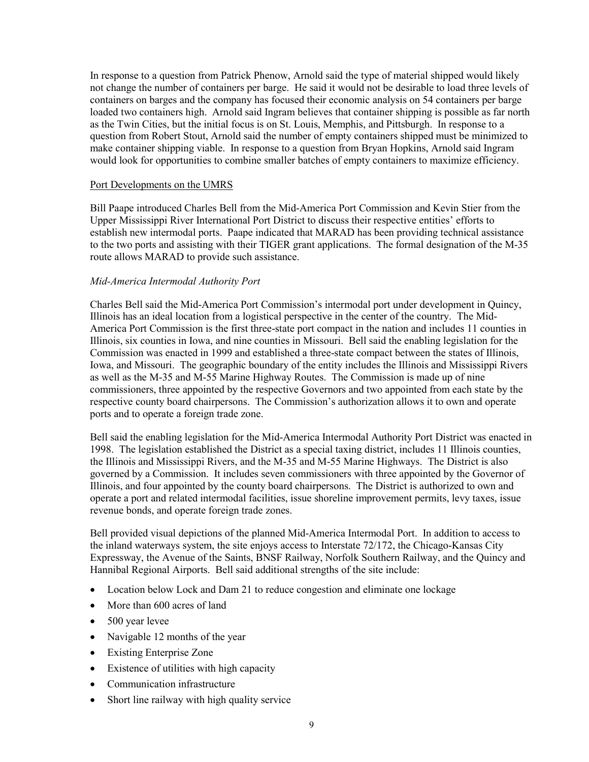In response to a question from Patrick Phenow, Arnold said the type of material shipped would likely not change the number of containers per barge. He said it would not be desirable to load three levels of containers on barges and the company has focused their economic analysis on 54 containers per barge loaded two containers high. Arnold said Ingram believes that container shipping is possible as far north as the Twin Cities, but the initial focus is on St. Louis, Memphis, and Pittsburgh. In response to a question from Robert Stout, Arnold said the number of empty containers shipped must be minimized to make container shipping viable. In response to a question from Bryan Hopkins, Arnold said Ingram would look for opportunities to combine smaller batches of empty containers to maximize efficiency.

#### Port Developments on the UMRS

Bill Paape introduced Charles Bell from the Mid-America Port Commission and Kevin Stier from the Upper Mississippi River International Port District to discuss their respective entities' efforts to establish new intermodal ports. Paape indicated that MARAD has been providing technical assistance to the two ports and assisting with their TIGER grant applications. The formal designation of the M-35 route allows MARAD to provide such assistance.

#### *Mid-America Intermodal Authority Port*

Charles Bell said the Mid-America Port Commission's intermodal port under development in Quincy, Illinois has an ideal location from a logistical perspective in the center of the country. The Mid-America Port Commission is the first three-state port compact in the nation and includes 11 counties in Illinois, six counties in Iowa, and nine counties in Missouri. Bell said the enabling legislation for the Commission was enacted in 1999 and established a three-state compact between the states of Illinois, Iowa, and Missouri. The geographic boundary of the entity includes the Illinois and Mississippi Rivers as well as the M-35 and M-55 Marine Highway Routes. The Commission is made up of nine commissioners, three appointed by the respective Governors and two appointed from each state by the respective county board chairpersons. The Commission's authorization allows it to own and operate ports and to operate a foreign trade zone.

Bell said the enabling legislation for the Mid-America Intermodal Authority Port District was enacted in 1998. The legislation established the District as a special taxing district, includes 11 Illinois counties, the Illinois and Mississippi Rivers, and the M-35 and M-55 Marine Highways. The District is also governed by a Commission. It includes seven commissioners with three appointed by the Governor of Illinois, and four appointed by the county board chairpersons. The District is authorized to own and operate a port and related intermodal facilities, issue shoreline improvement permits, levy taxes, issue revenue bonds, and operate foreign trade zones.

Bell provided visual depictions of the planned Mid-America Intermodal Port. In addition to access to the inland waterways system, the site enjoys access to Interstate 72/172, the Chicago-Kansas City Expressway, the Avenue of the Saints, BNSF Railway, Norfolk Southern Railway, and the Quincy and Hannibal Regional Airports. Bell said additional strengths of the site include:

- Location below Lock and Dam 21 to reduce congestion and eliminate one lockage
- More than 600 acres of land
- 500 year levee
- Navigable 12 months of the year
- Existing Enterprise Zone
- Existence of utilities with high capacity
- Communication infrastructure
- Short line railway with high quality service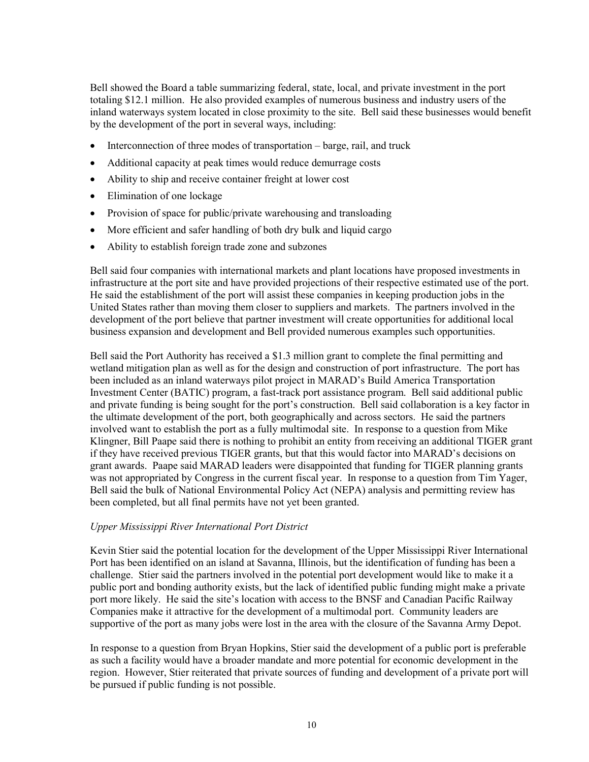Bell showed the Board a table summarizing federal, state, local, and private investment in the port totaling \$12.1 million. He also provided examples of numerous business and industry users of the inland waterways system located in close proximity to the site. Bell said these businesses would benefit by the development of the port in several ways, including:

- Interconnection of three modes of transportation barge, rail, and truck
- Additional capacity at peak times would reduce demurrage costs
- Ability to ship and receive container freight at lower cost
- Elimination of one lockage
- Provision of space for public/private warehousing and transloading
- More efficient and safer handling of both dry bulk and liquid cargo
- Ability to establish foreign trade zone and subzones

Bell said four companies with international markets and plant locations have proposed investments in infrastructure at the port site and have provided projections of their respective estimated use of the port. He said the establishment of the port will assist these companies in keeping production jobs in the United States rather than moving them closer to suppliers and markets. The partners involved in the development of the port believe that partner investment will create opportunities for additional local business expansion and development and Bell provided numerous examples such opportunities.

Bell said the Port Authority has received a \$1.3 million grant to complete the final permitting and wetland mitigation plan as well as for the design and construction of port infrastructure. The port has been included as an inland waterways pilot project in MARAD's Build America Transportation Investment Center (BATIC) program, a fast-track port assistance program. Bell said additional public and private funding is being sought for the port's construction. Bell said collaboration is a key factor in the ultimate development of the port, both geographically and across sectors. He said the partners involved want to establish the port as a fully multimodal site. In response to a question from Mike Klingner, Bill Paape said there is nothing to prohibit an entity from receiving an additional TIGER grant if they have received previous TIGER grants, but that this would factor into MARAD's decisions on grant awards. Paape said MARAD leaders were disappointed that funding for TIGER planning grants was not appropriated by Congress in the current fiscal year. In response to a question from Tim Yager, Bell said the bulk of National Environmental Policy Act (NEPA) analysis and permitting review has been completed, but all final permits have not yet been granted.

#### *Upper Mississippi River International Port District*

Kevin Stier said the potential location for the development of the Upper Mississippi River International Port has been identified on an island at Savanna, Illinois, but the identification of funding has been a challenge. Stier said the partners involved in the potential port development would like to make it a public port and bonding authority exists, but the lack of identified public funding might make a private port more likely. He said the site's location with access to the BNSF and Canadian Pacific Railway Companies make it attractive for the development of a multimodal port. Community leaders are supportive of the port as many jobs were lost in the area with the closure of the Savanna Army Depot.

In response to a question from Bryan Hopkins, Stier said the development of a public port is preferable as such a facility would have a broader mandate and more potential for economic development in the region. However, Stier reiterated that private sources of funding and development of a private port will be pursued if public funding is not possible.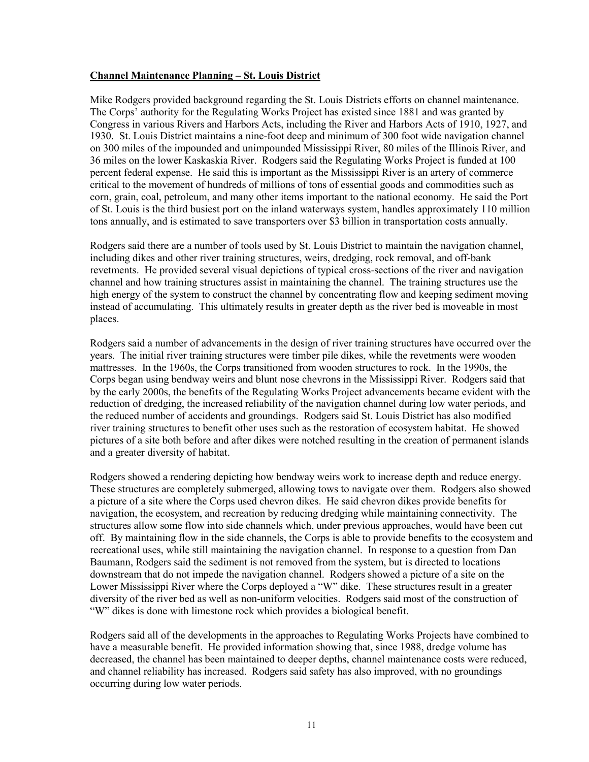#### **Channel Maintenance Planning – St. Louis District**

Mike Rodgers provided background regarding the St. Louis Districts efforts on channel maintenance. The Corps' authority for the Regulating Works Project has existed since 1881 and was granted by Congress in various Rivers and Harbors Acts, including the River and Harbors Acts of 1910, 1927, and 1930. St. Louis District maintains a nine-foot deep and minimum of 300 foot wide navigation channel on 300 miles of the impounded and unimpounded Mississippi River, 80 miles of the Illinois River, and 36 miles on the lower Kaskaskia River. Rodgers said the Regulating Works Project is funded at 100 percent federal expense. He said this is important as the Mississippi River is an artery of commerce critical to the movement of hundreds of millions of tons of essential goods and commodities such as corn, grain, coal, petroleum, and many other items important to the national economy. He said the Port of St. Louis is the third busiest port on the inland waterways system, handles approximately 110 million tons annually, and is estimated to save transporters over \$3 billion in transportation costs annually.

Rodgers said there are a number of tools used by St. Louis District to maintain the navigation channel, including dikes and other river training structures, weirs, dredging, rock removal, and off-bank revetments. He provided several visual depictions of typical cross-sections of the river and navigation channel and how training structures assist in maintaining the channel. The training structures use the high energy of the system to construct the channel by concentrating flow and keeping sediment moving instead of accumulating. This ultimately results in greater depth as the river bed is moveable in most places.

Rodgers said a number of advancements in the design of river training structures have occurred over the years. The initial river training structures were timber pile dikes, while the revetments were wooden mattresses. In the 1960s, the Corps transitioned from wooden structures to rock. In the 1990s, the Corps began using bendway weirs and blunt nose chevrons in the Mississippi River. Rodgers said that by the early 2000s, the benefits of the Regulating Works Project advancements became evident with the reduction of dredging, the increased reliability of the navigation channel during low water periods, and the reduced number of accidents and groundings. Rodgers said St. Louis District has also modified river training structures to benefit other uses such as the restoration of ecosystem habitat. He showed pictures of a site both before and after dikes were notched resulting in the creation of permanent islands and a greater diversity of habitat.

Rodgers showed a rendering depicting how bendway weirs work to increase depth and reduce energy. These structures are completely submerged, allowing tows to navigate over them. Rodgers also showed a picture of a site where the Corps used chevron dikes. He said chevron dikes provide benefits for navigation, the ecosystem, and recreation by reducing dredging while maintaining connectivity. The structures allow some flow into side channels which, under previous approaches, would have been cut off. By maintaining flow in the side channels, the Corps is able to provide benefits to the ecosystem and recreational uses, while still maintaining the navigation channel. In response to a question from Dan Baumann, Rodgers said the sediment is not removed from the system, but is directed to locations downstream that do not impede the navigation channel. Rodgers showed a picture of a site on the Lower Mississippi River where the Corps deployed a "W" dike. These structures result in a greater diversity of the river bed as well as non-uniform velocities. Rodgers said most of the construction of "W" dikes is done with limestone rock which provides a biological benefit.

Rodgers said all of the developments in the approaches to Regulating Works Projects have combined to have a measurable benefit. He provided information showing that, since 1988, dredge volume has decreased, the channel has been maintained to deeper depths, channel maintenance costs were reduced, and channel reliability has increased. Rodgers said safety has also improved, with no groundings occurring during low water periods.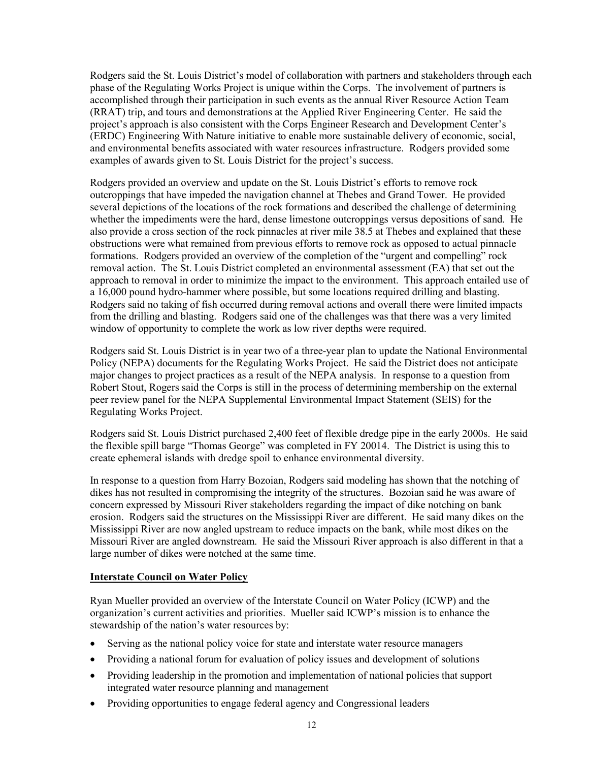Rodgers said the St. Louis District's model of collaboration with partners and stakeholders through each phase of the Regulating Works Project is unique within the Corps. The involvement of partners is accomplished through their participation in such events as the annual River Resource Action Team (RRAT) trip, and tours and demonstrations at the Applied River Engineering Center. He said the project's approach is also consistent with the Corps Engineer Research and Development Center's (ERDC) Engineering With Nature initiative to enable more sustainable delivery of economic, social, and environmental benefits associated with water resources infrastructure. Rodgers provided some examples of awards given to St. Louis District for the project's success.

Rodgers provided an overview and update on the St. Louis District's efforts to remove rock outcroppings that have impeded the navigation channel at Thebes and Grand Tower. He provided several depictions of the locations of the rock formations and described the challenge of determining whether the impediments were the hard, dense limestone outcroppings versus depositions of sand. He also provide a cross section of the rock pinnacles at river mile 38.5 at Thebes and explained that these obstructions were what remained from previous efforts to remove rock as opposed to actual pinnacle formations. Rodgers provided an overview of the completion of the "urgent and compelling" rock removal action. The St. Louis District completed an environmental assessment (EA) that set out the approach to removal in order to minimize the impact to the environment. This approach entailed use of a 16,000 pound hydro-hammer where possible, but some locations required drilling and blasting. Rodgers said no taking of fish occurred during removal actions and overall there were limited impacts from the drilling and blasting. Rodgers said one of the challenges was that there was a very limited window of opportunity to complete the work as low river depths were required.

Rodgers said St. Louis District is in year two of a three-year plan to update the National Environmental Policy (NEPA) documents for the Regulating Works Project. He said the District does not anticipate major changes to project practices as a result of the NEPA analysis. In response to a question from Robert Stout, Rogers said the Corps is still in the process of determining membership on the external peer review panel for the NEPA Supplemental Environmental Impact Statement (SEIS) for the Regulating Works Project.

Rodgers said St. Louis District purchased 2,400 feet of flexible dredge pipe in the early 2000s. He said the flexible spill barge "Thomas George" was completed in FY 20014. The District is using this to create ephemeral islands with dredge spoil to enhance environmental diversity.

In response to a question from Harry Bozoian, Rodgers said modeling has shown that the notching of dikes has not resulted in compromising the integrity of the structures. Bozoian said he was aware of concern expressed by Missouri River stakeholders regarding the impact of dike notching on bank erosion. Rodgers said the structures on the Mississippi River are different. He said many dikes on the Mississippi River are now angled upstream to reduce impacts on the bank, while most dikes on the Missouri River are angled downstream. He said the Missouri River approach is also different in that a large number of dikes were notched at the same time.

#### **Interstate Council on Water Policy**

Ryan Mueller provided an overview of the Interstate Council on Water Policy (ICWP) and the organization's current activities and priorities. Mueller said ICWP's mission is to enhance the stewardship of the nation's water resources by:

- Serving as the national policy voice for state and interstate water resource managers
- Providing a national forum for evaluation of policy issues and development of solutions
- Providing leadership in the promotion and implementation of national policies that support integrated water resource planning and management
- Providing opportunities to engage federal agency and Congressional leaders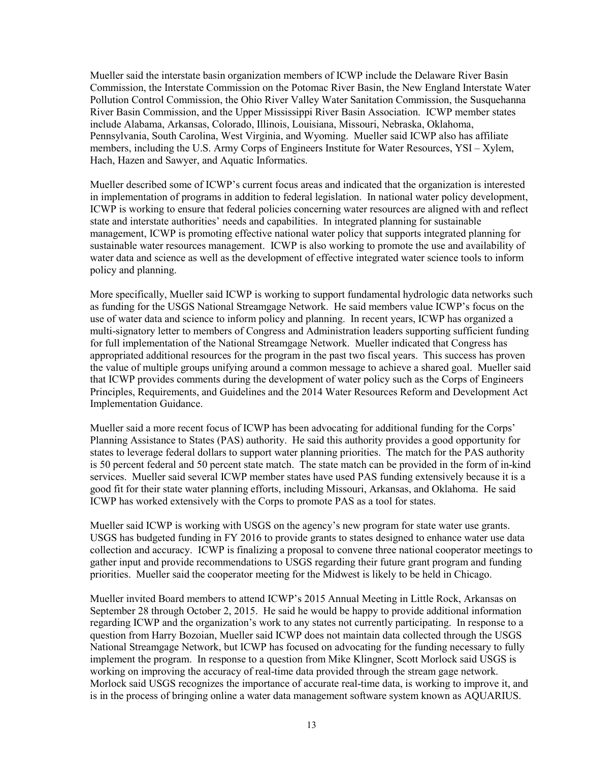Mueller said the interstate basin organization members of ICWP include the Delaware River Basin Commission, the Interstate Commission on the Potomac River Basin, the New England Interstate Water Pollution Control Commission, the Ohio River Valley Water Sanitation Commission, the Susquehanna River Basin Commission, and the Upper Mississippi River Basin Association. ICWP member states include Alabama, Arkansas, Colorado, Illinois, Louisiana, Missouri, Nebraska, Oklahoma, Pennsylvania, South Carolina, West Virginia, and Wyoming. Mueller said ICWP also has affiliate members, including the U.S. Army Corps of Engineers Institute for Water Resources, YSI – Xylem, Hach, Hazen and Sawyer, and Aquatic Informatics.

Mueller described some of ICWP's current focus areas and indicated that the organization is interested in implementation of programs in addition to federal legislation. In national water policy development, ICWP is working to ensure that federal policies concerning water resources are aligned with and reflect state and interstate authorities' needs and capabilities. In integrated planning for sustainable management, ICWP is promoting effective national water policy that supports integrated planning for sustainable water resources management. ICWP is also working to promote the use and availability of water data and science as well as the development of effective integrated water science tools to inform policy and planning.

More specifically, Mueller said ICWP is working to support fundamental hydrologic data networks such as funding for the USGS National Streamgage Network. He said members value ICWP's focus on the use of water data and science to inform policy and planning. In recent years, ICWP has organized a multi-signatory letter to members of Congress and Administration leaders supporting sufficient funding for full implementation of the National Streamgage Network. Mueller indicated that Congress has appropriated additional resources for the program in the past two fiscal years. This success has proven the value of multiple groups unifying around a common message to achieve a shared goal. Mueller said that ICWP provides comments during the development of water policy such as the Corps of Engineers Principles, Requirements, and Guidelines and the 2014 Water Resources Reform and Development Act Implementation Guidance.

Mueller said a more recent focus of ICWP has been advocating for additional funding for the Corps' Planning Assistance to States (PAS) authority. He said this authority provides a good opportunity for states to leverage federal dollars to support water planning priorities. The match for the PAS authority is 50 percent federal and 50 percent state match. The state match can be provided in the form of in-kind services. Mueller said several ICWP member states have used PAS funding extensively because it is a good fit for their state water planning efforts, including Missouri, Arkansas, and Oklahoma. He said ICWP has worked extensively with the Corps to promote PAS as a tool for states.

Mueller said ICWP is working with USGS on the agency's new program for state water use grants. USGS has budgeted funding in FY 2016 to provide grants to states designed to enhance water use data collection and accuracy. ICWP is finalizing a proposal to convene three national cooperator meetings to gather input and provide recommendations to USGS regarding their future grant program and funding priorities. Mueller said the cooperator meeting for the Midwest is likely to be held in Chicago.

Mueller invited Board members to attend ICWP's 2015 Annual Meeting in Little Rock, Arkansas on September 28 through October 2, 2015. He said he would be happy to provide additional information regarding ICWP and the organization's work to any states not currently participating. In response to a question from Harry Bozoian, Mueller said ICWP does not maintain data collected through the USGS National Streamgage Network, but ICWP has focused on advocating for the funding necessary to fully implement the program. In response to a question from Mike Klingner, Scott Morlock said USGS is working on improving the accuracy of real-time data provided through the stream gage network. Morlock said USGS recognizes the importance of accurate real-time data, is working to improve it, and is in the process of bringing online a water data management software system known as AQUARIUS.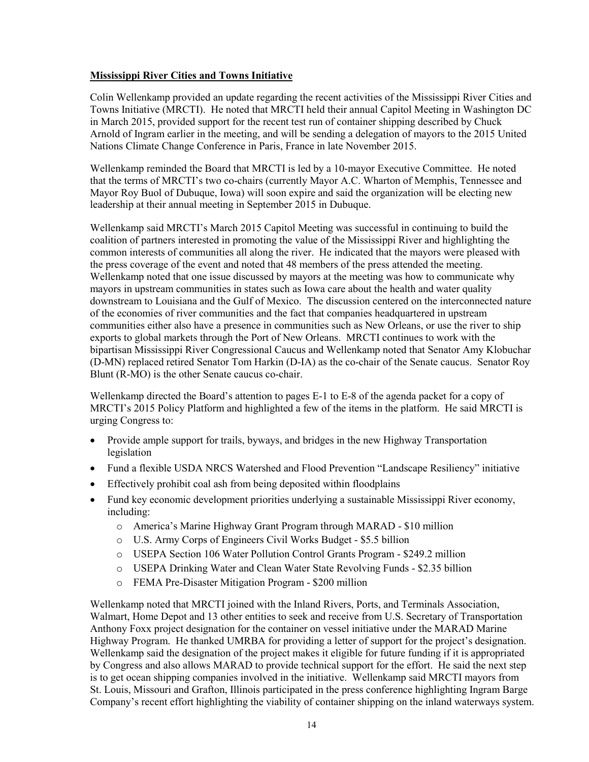## **Mississippi River Cities and Towns Initiative**

Colin Wellenkamp provided an update regarding the recent activities of the Mississippi River Cities and Towns Initiative (MRCTI). He noted that MRCTI held their annual Capitol Meeting in Washington DC in March 2015, provided support for the recent test run of container shipping described by Chuck Arnold of Ingram earlier in the meeting, and will be sending a delegation of mayors to the 2015 United Nations Climate Change Conference in Paris, France in late November 2015.

Wellenkamp reminded the Board that MRCTI is led by a 10-mayor Executive Committee. He noted that the terms of MRCTI's two co-chairs (currently Mayor A.C. Wharton of Memphis, Tennessee and Mayor Roy Buol of Dubuque, Iowa) will soon expire and said the organization will be electing new leadership at their annual meeting in September 2015 in Dubuque.

Wellenkamp said MRCTI's March 2015 Capitol Meeting was successful in continuing to build the coalition of partners interested in promoting the value of the Mississippi River and highlighting the common interests of communities all along the river. He indicated that the mayors were pleased with the press coverage of the event and noted that 48 members of the press attended the meeting. Wellenkamp noted that one issue discussed by mayors at the meeting was how to communicate why mayors in upstream communities in states such as Iowa care about the health and water quality downstream to Louisiana and the Gulf of Mexico. The discussion centered on the interconnected nature of the economies of river communities and the fact that companies headquartered in upstream communities either also have a presence in communities such as New Orleans, or use the river to ship exports to global markets through the Port of New Orleans. MRCTI continues to work with the bipartisan Mississippi River Congressional Caucus and Wellenkamp noted that Senator Amy Klobuchar (D-MN) replaced retired Senator Tom Harkin (D-IA) as the co-chair of the Senate caucus. Senator Roy Blunt (R-MO) is the other Senate caucus co-chair.

Wellenkamp directed the Board's attention to pages E-1 to E-8 of the agenda packet for a copy of MRCTI's 2015 Policy Platform and highlighted a few of the items in the platform. He said MRCTI is urging Congress to:

- Provide ample support for trails, byways, and bridges in the new Highway Transportation legislation
- Fund a flexible USDA NRCS Watershed and Flood Prevention "Landscape Resiliency" initiative
- Effectively prohibit coal ash from being deposited within floodplains
- Fund key economic development priorities underlying a sustainable Mississippi River economy, including:
	- o America's Marine Highway Grant Program through MARAD \$10 million
	- o U.S. Army Corps of Engineers Civil Works Budget \$5.5 billion
	- o USEPA Section 106 Water Pollution Control Grants Program \$249.2 million
	- o USEPA Drinking Water and Clean Water State Revolving Funds \$2.35 billion
	- o FEMA Pre-Disaster Mitigation Program \$200 million

Wellenkamp noted that MRCTI joined with the Inland Rivers, Ports, and Terminals Association, Walmart, Home Depot and 13 other entities to seek and receive from U.S. Secretary of Transportation Anthony Foxx project designation for the container on vessel initiative under the MARAD Marine Highway Program. He thanked UMRBA for providing a letter of support for the project's designation. Wellenkamp said the designation of the project makes it eligible for future funding if it is appropriated by Congress and also allows MARAD to provide technical support for the effort. He said the next step is to get ocean shipping companies involved in the initiative. Wellenkamp said MRCTI mayors from St. Louis, Missouri and Grafton, Illinois participated in the press conference highlighting Ingram Barge Company's recent effort highlighting the viability of container shipping on the inland waterways system.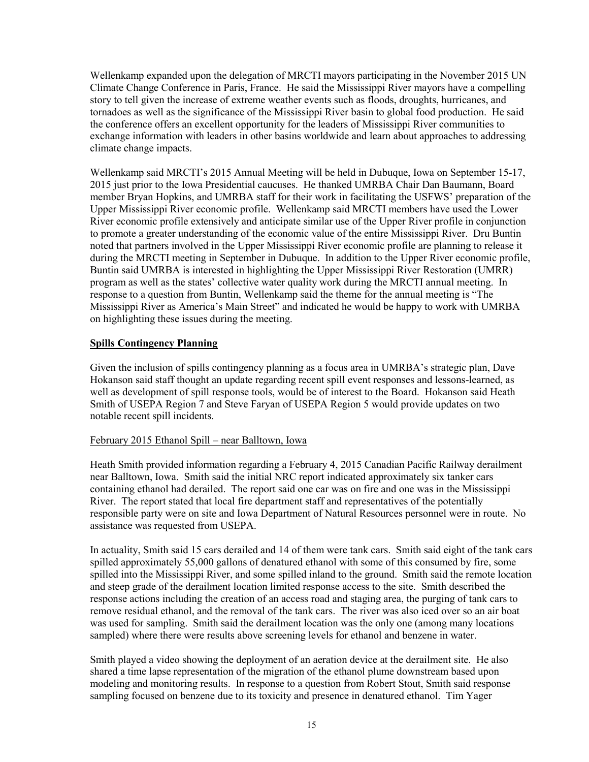Wellenkamp expanded upon the delegation of MRCTI mayors participating in the November 2015 UN Climate Change Conference in Paris, France. He said the Mississippi River mayors have a compelling story to tell given the increase of extreme weather events such as floods, droughts, hurricanes, and tornadoes as well as the significance of the Mississippi River basin to global food production. He said the conference offers an excellent opportunity for the leaders of Mississippi River communities to exchange information with leaders in other basins worldwide and learn about approaches to addressing climate change impacts.

Wellenkamp said MRCTI's 2015 Annual Meeting will be held in Dubuque, Iowa on September 15-17, 2015 just prior to the Iowa Presidential caucuses. He thanked UMRBA Chair Dan Baumann, Board member Bryan Hopkins, and UMRBA staff for their work in facilitating the USFWS' preparation of the Upper Mississippi River economic profile. Wellenkamp said MRCTI members have used the Lower River economic profile extensively and anticipate similar use of the Upper River profile in conjunction to promote a greater understanding of the economic value of the entire Mississippi River. Dru Buntin noted that partners involved in the Upper Mississippi River economic profile are planning to release it during the MRCTI meeting in September in Dubuque. In addition to the Upper River economic profile, Buntin said UMRBA is interested in highlighting the Upper Mississippi River Restoration (UMRR) program as well as the states' collective water quality work during the MRCTI annual meeting. In response to a question from Buntin, Wellenkamp said the theme for the annual meeting is "The Mississippi River as America's Main Street" and indicated he would be happy to work with UMRBA on highlighting these issues during the meeting.

## **Spills Contingency Planning**

Given the inclusion of spills contingency planning as a focus area in UMRBA's strategic plan, Dave Hokanson said staff thought an update regarding recent spill event responses and lessons-learned, as well as development of spill response tools, would be of interest to the Board. Hokanson said Heath Smith of USEPA Region 7 and Steve Faryan of USEPA Region 5 would provide updates on two notable recent spill incidents.

#### February 2015 Ethanol Spill – near Balltown, Iowa

Heath Smith provided information regarding a February 4, 2015 Canadian Pacific Railway derailment near Balltown, Iowa. Smith said the initial NRC report indicated approximately six tanker cars containing ethanol had derailed. The report said one car was on fire and one was in the Mississippi River. The report stated that local fire department staff and representatives of the potentially responsible party were on site and Iowa Department of Natural Resources personnel were in route. No assistance was requested from USEPA.

In actuality, Smith said 15 cars derailed and 14 of them were tank cars. Smith said eight of the tank cars spilled approximately 55,000 gallons of denatured ethanol with some of this consumed by fire, some spilled into the Mississippi River, and some spilled inland to the ground. Smith said the remote location and steep grade of the derailment location limited response access to the site. Smith described the response actions including the creation of an access road and staging area, the purging of tank cars to remove residual ethanol, and the removal of the tank cars. The river was also iced over so an air boat was used for sampling. Smith said the derailment location was the only one (among many locations sampled) where there were results above screening levels for ethanol and benzene in water.

Smith played a video showing the deployment of an aeration device at the derailment site. He also shared a time lapse representation of the migration of the ethanol plume downstream based upon modeling and monitoring results. In response to a question from Robert Stout, Smith said response sampling focused on benzene due to its toxicity and presence in denatured ethanol. Tim Yager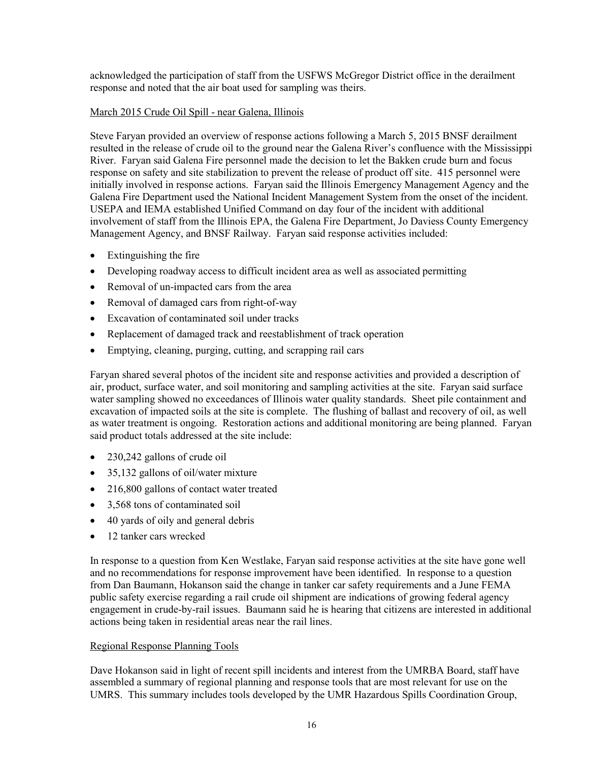acknowledged the participation of staff from the USFWS McGregor District office in the derailment response and noted that the air boat used for sampling was theirs.

## March 2015 Crude Oil Spill - near Galena, Illinois

Steve Faryan provided an overview of response actions following a March 5, 2015 BNSF derailment resulted in the release of crude oil to the ground near the Galena River's confluence with the Mississippi River. Faryan said Galena Fire personnel made the decision to let the Bakken crude burn and focus response on safety and site stabilization to prevent the release of product off site. 415 personnel were initially involved in response actions. Faryan said the Illinois Emergency Management Agency and the Galena Fire Department used the National Incident Management System from the onset of the incident. USEPA and IEMA established Unified Command on day four of the incident with additional involvement of staff from the Illinois EPA, the Galena Fire Department, Jo Daviess County Emergency Management Agency, and BNSF Railway. Faryan said response activities included:

- Extinguishing the fire
- Developing roadway access to difficult incident area as well as associated permitting
- Removal of un-impacted cars from the area
- Removal of damaged cars from right-of-way
- Excavation of contaminated soil under tracks
- Replacement of damaged track and reestablishment of track operation
- Emptying, cleaning, purging, cutting, and scrapping rail cars

Faryan shared several photos of the incident site and response activities and provided a description of air, product, surface water, and soil monitoring and sampling activities at the site. Faryan said surface water sampling showed no exceedances of Illinois water quality standards. Sheet pile containment and excavation of impacted soils at the site is complete. The flushing of ballast and recovery of oil, as well as water treatment is ongoing. Restoration actions and additional monitoring are being planned. Faryan said product totals addressed at the site include:

- 230,242 gallons of crude oil
- 35,132 gallons of oil/water mixture
- 216,800 gallons of contact water treated
- 3,568 tons of contaminated soil
- 40 yards of oily and general debris
- 12 tanker cars wrecked

In response to a question from Ken Westlake, Faryan said response activities at the site have gone well and no recommendations for response improvement have been identified. In response to a question from Dan Baumann, Hokanson said the change in tanker car safety requirements and a June FEMA public safety exercise regarding a rail crude oil shipment are indications of growing federal agency engagement in crude-by-rail issues. Baumann said he is hearing that citizens are interested in additional actions being taken in residential areas near the rail lines.

## Regional Response Planning Tools

Dave Hokanson said in light of recent spill incidents and interest from the UMRBA Board, staff have assembled a summary of regional planning and response tools that are most relevant for use on the UMRS. This summary includes tools developed by the UMR Hazardous Spills Coordination Group,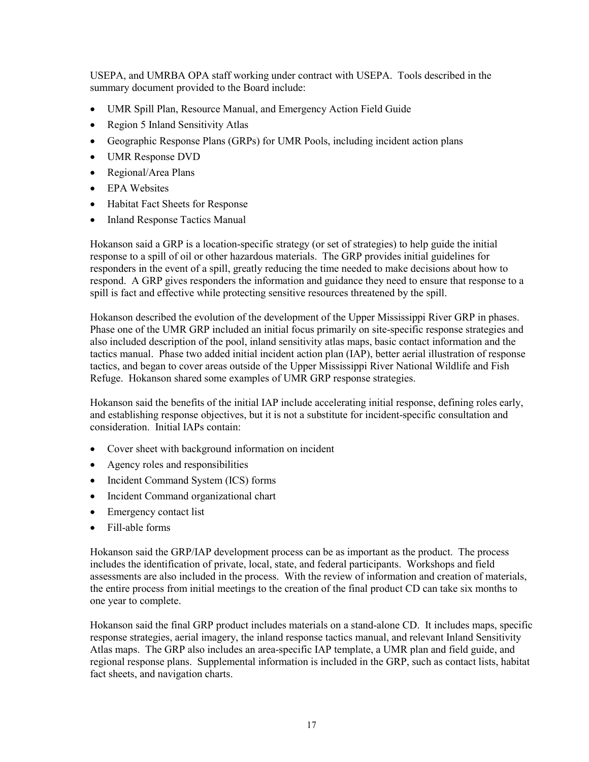USEPA, and UMRBA OPA staff working under contract with USEPA. Tools described in the summary document provided to the Board include:

- UMR Spill Plan, Resource Manual, and Emergency Action Field Guide
- Region 5 Inland Sensitivity Atlas
- Geographic Response Plans (GRPs) for UMR Pools, including incident action plans
- UMR Response DVD
- Regional/Area Plans
- EPA Websites
- Habitat Fact Sheets for Response
- Inland Response Tactics Manual

Hokanson said a GRP is a location-specific strategy (or set of strategies) to help guide the initial response to a spill of oil or other hazardous materials. The GRP provides initial guidelines for responders in the event of a spill, greatly reducing the time needed to make decisions about how to respond. A GRP gives responders the information and guidance they need to ensure that response to a spill is fact and effective while protecting sensitive resources threatened by the spill.

Hokanson described the evolution of the development of the Upper Mississippi River GRP in phases. Phase one of the UMR GRP included an initial focus primarily on site-specific response strategies and also included description of the pool, inland sensitivity atlas maps, basic contact information and the tactics manual. Phase two added initial incident action plan (IAP), better aerial illustration of response tactics, and began to cover areas outside of the Upper Mississippi River National Wildlife and Fish Refuge. Hokanson shared some examples of UMR GRP response strategies.

Hokanson said the benefits of the initial IAP include accelerating initial response, defining roles early, and establishing response objectives, but it is not a substitute for incident-specific consultation and consideration. Initial IAPs contain:

- Cover sheet with background information on incident
- Agency roles and responsibilities
- Incident Command System (ICS) forms
- Incident Command organizational chart
- Emergency contact list
- Fill-able forms

Hokanson said the GRP/IAP development process can be as important as the product. The process includes the identification of private, local, state, and federal participants. Workshops and field assessments are also included in the process. With the review of information and creation of materials, the entire process from initial meetings to the creation of the final product CD can take six months to one year to complete.

Hokanson said the final GRP product includes materials on a stand-alone CD. It includes maps, specific response strategies, aerial imagery, the inland response tactics manual, and relevant Inland Sensitivity Atlas maps. The GRP also includes an area-specific IAP template, a UMR plan and field guide, and regional response plans. Supplemental information is included in the GRP, such as contact lists, habitat fact sheets, and navigation charts.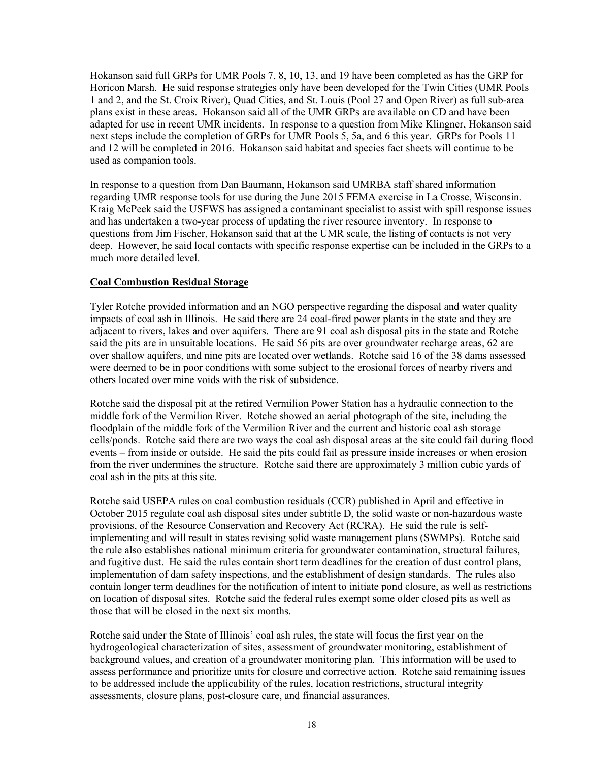Hokanson said full GRPs for UMR Pools 7, 8, 10, 13, and 19 have been completed as has the GRP for Horicon Marsh. He said response strategies only have been developed for the Twin Cities (UMR Pools 1 and 2, and the St. Croix River), Quad Cities, and St. Louis (Pool 27 and Open River) as full sub-area plans exist in these areas. Hokanson said all of the UMR GRPs are available on CD and have been adapted for use in recent UMR incidents. In response to a question from Mike Klingner, Hokanson said next steps include the completion of GRPs for UMR Pools 5, 5a, and 6 this year. GRPs for Pools 11 and 12 will be completed in 2016. Hokanson said habitat and species fact sheets will continue to be used as companion tools.

In response to a question from Dan Baumann, Hokanson said UMRBA staff shared information regarding UMR response tools for use during the June 2015 FEMA exercise in La Crosse, Wisconsin. Kraig McPeek said the USFWS has assigned a contaminant specialist to assist with spill response issues and has undertaken a two-year process of updating the river resource inventory. In response to questions from Jim Fischer, Hokanson said that at the UMR scale, the listing of contacts is not very deep. However, he said local contacts with specific response expertise can be included in the GRPs to a much more detailed level.

## **Coal Combustion Residual Storage**

Tyler Rotche provided information and an NGO perspective regarding the disposal and water quality impacts of coal ash in Illinois. He said there are 24 coal-fired power plants in the state and they are adjacent to rivers, lakes and over aquifers. There are 91 coal ash disposal pits in the state and Rotche said the pits are in unsuitable locations. He said 56 pits are over groundwater recharge areas, 62 are over shallow aquifers, and nine pits are located over wetlands. Rotche said 16 of the 38 dams assessed were deemed to be in poor conditions with some subject to the erosional forces of nearby rivers and others located over mine voids with the risk of subsidence.

Rotche said the disposal pit at the retired Vermilion Power Station has a hydraulic connection to the middle fork of the Vermilion River. Rotche showed an aerial photograph of the site, including the floodplain of the middle fork of the Vermilion River and the current and historic coal ash storage cells/ponds. Rotche said there are two ways the coal ash disposal areas at the site could fail during flood events – from inside or outside. He said the pits could fail as pressure inside increases or when erosion from the river undermines the structure. Rotche said there are approximately 3 million cubic yards of coal ash in the pits at this site.

Rotche said USEPA rules on coal combustion residuals (CCR) published in April and effective in October 2015 regulate coal ash disposal sites under subtitle D, the solid waste or non-hazardous waste provisions, of the Resource Conservation and Recovery Act (RCRA). He said the rule is selfimplementing and will result in states revising solid waste management plans (SWMPs). Rotche said the rule also establishes national minimum criteria for groundwater contamination, structural failures, and fugitive dust. He said the rules contain short term deadlines for the creation of dust control plans, implementation of dam safety inspections, and the establishment of design standards. The rules also contain longer term deadlines for the notification of intent to initiate pond closure, as well as restrictions on location of disposal sites. Rotche said the federal rules exempt some older closed pits as well as those that will be closed in the next six months.

Rotche said under the State of Illinois' coal ash rules, the state will focus the first year on the hydrogeological characterization of sites, assessment of groundwater monitoring, establishment of background values, and creation of a groundwater monitoring plan. This information will be used to assess performance and prioritize units for closure and corrective action. Rotche said remaining issues to be addressed include the applicability of the rules, location restrictions, structural integrity assessments, closure plans, post-closure care, and financial assurances.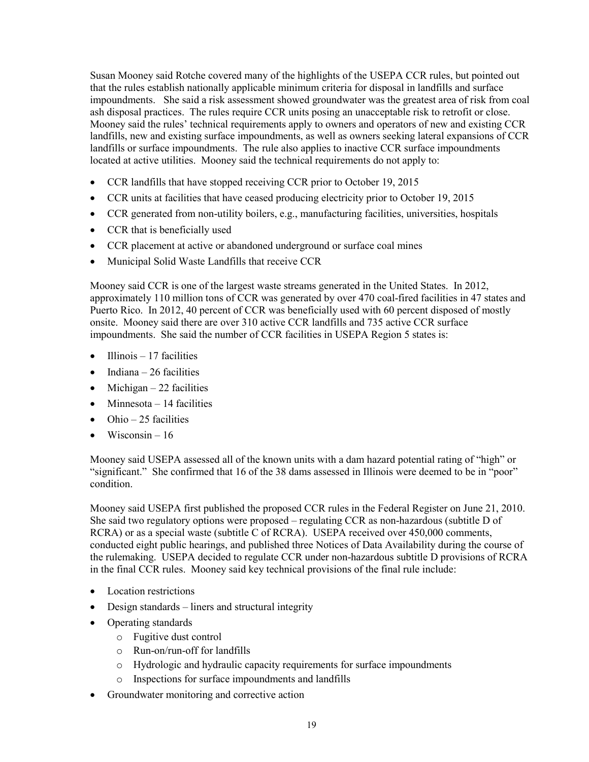Susan Mooney said Rotche covered many of the highlights of the USEPA CCR rules, but pointed out that the rules establish nationally applicable minimum criteria for disposal in landfills and surface impoundments. She said a risk assessment showed groundwater was the greatest area of risk from coal ash disposal practices. The rules require CCR units posing an unacceptable risk to retrofit or close. Mooney said the rules' technical requirements apply to owners and operators of new and existing CCR landfills, new and existing surface impoundments, as well as owners seeking lateral expansions of CCR landfills or surface impoundments. The rule also applies to inactive CCR surface impoundments located at active utilities. Mooney said the technical requirements do not apply to:

- CCR landfills that have stopped receiving CCR prior to October 19, 2015
- CCR units at facilities that have ceased producing electricity prior to October 19, 2015
- CCR generated from non-utility boilers, e.g., manufacturing facilities, universities, hospitals
- CCR that is beneficially used
- CCR placement at active or abandoned underground or surface coal mines
- Municipal Solid Waste Landfills that receive CCR

Mooney said CCR is one of the largest waste streams generated in the United States. In 2012, approximately 110 million tons of CCR was generated by over 470 coal-fired facilities in 47 states and Puerto Rico. In 2012, 40 percent of CCR was beneficially used with 60 percent disposed of mostly onsite. Mooney said there are over 310 active CCR landfills and 735 active CCR surface impoundments. She said the number of CCR facilities in USEPA Region 5 states is:

- $\bullet$  Illinois 17 facilities
- $\bullet$  Indiana 26 facilities
- Michigan  $-22$  facilities
- Minnesota 14 facilities
- $\bullet$  Ohio 25 facilities
- Wisconsin  $16$

Mooney said USEPA assessed all of the known units with a dam hazard potential rating of "high" or "significant." She confirmed that 16 of the 38 dams assessed in Illinois were deemed to be in "poor" condition.

Mooney said USEPA first published the proposed CCR rules in the Federal Register on June 21, 2010. She said two regulatory options were proposed – regulating CCR as non-hazardous (subtitle D of RCRA) or as a special waste (subtitle C of RCRA). USEPA received over 450,000 comments, conducted eight public hearings, and published three Notices of Data Availability during the course of the rulemaking. USEPA decided to regulate CCR under non-hazardous subtitle D provisions of RCRA in the final CCR rules. Mooney said key technical provisions of the final rule include:

- Location restrictions
- Design standards liners and structural integrity
- Operating standards
	- o Fugitive dust control
	- o Run-on/run-off for landfills
	- o Hydrologic and hydraulic capacity requirements for surface impoundments
	- o Inspections for surface impoundments and landfills
- Groundwater monitoring and corrective action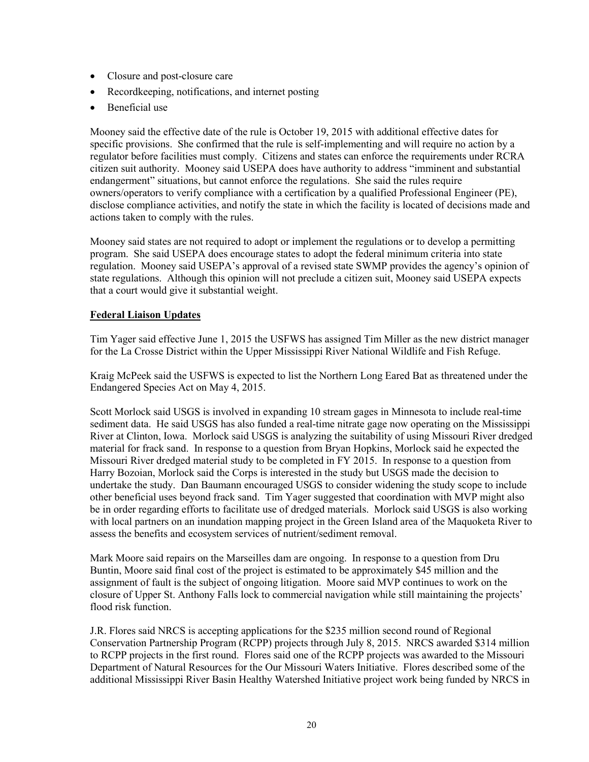- Closure and post-closure care
- Recordkeeping, notifications, and internet posting
- Beneficial use

Mooney said the effective date of the rule is October 19, 2015 with additional effective dates for specific provisions. She confirmed that the rule is self-implementing and will require no action by a regulator before facilities must comply. Citizens and states can enforce the requirements under RCRA citizen suit authority. Mooney said USEPA does have authority to address "imminent and substantial endangerment" situations, but cannot enforce the regulations. She said the rules require owners/operators to verify compliance with a certification by a qualified Professional Engineer (PE), disclose compliance activities, and notify the state in which the facility is located of decisions made and actions taken to comply with the rules.

Mooney said states are not required to adopt or implement the regulations or to develop a permitting program. She said USEPA does encourage states to adopt the federal minimum criteria into state regulation. Mooney said USEPA's approval of a revised state SWMP provides the agency's opinion of state regulations. Although this opinion will not preclude a citizen suit, Mooney said USEPA expects that a court would give it substantial weight.

## **Federal Liaison Updates**

Tim Yager said effective June 1, 2015 the USFWS has assigned Tim Miller as the new district manager for the La Crosse District within the Upper Mississippi River National Wildlife and Fish Refuge.

Kraig McPeek said the USFWS is expected to list the Northern Long Eared Bat as threatened under the Endangered Species Act on May 4, 2015.

Scott Morlock said USGS is involved in expanding 10 stream gages in Minnesota to include real-time sediment data. He said USGS has also funded a real-time nitrate gage now operating on the Mississippi River at Clinton, Iowa. Morlock said USGS is analyzing the suitability of using Missouri River dredged material for frack sand. In response to a question from Bryan Hopkins, Morlock said he expected the Missouri River dredged material study to be completed in FY 2015. In response to a question from Harry Bozoian, Morlock said the Corps is interested in the study but USGS made the decision to undertake the study. Dan Baumann encouraged USGS to consider widening the study scope to include other beneficial uses beyond frack sand. Tim Yager suggested that coordination with MVP might also be in order regarding efforts to facilitate use of dredged materials. Morlock said USGS is also working with local partners on an inundation mapping project in the Green Island area of the Maquoketa River to assess the benefits and ecosystem services of nutrient/sediment removal.

Mark Moore said repairs on the Marseilles dam are ongoing. In response to a question from Dru Buntin, Moore said final cost of the project is estimated to be approximately \$45 million and the assignment of fault is the subject of ongoing litigation. Moore said MVP continues to work on the closure of Upper St. Anthony Falls lock to commercial navigation while still maintaining the projects' flood risk function.

J.R. Flores said NRCS is accepting applications for the \$235 million second round of Regional Conservation Partnership Program (RCPP) projects through July 8, 2015. NRCS awarded \$314 million to RCPP projects in the first round. Flores said one of the RCPP projects was awarded to the Missouri Department of Natural Resources for the Our Missouri Waters Initiative. Flores described some of the additional Mississippi River Basin Healthy Watershed Initiative project work being funded by NRCS in